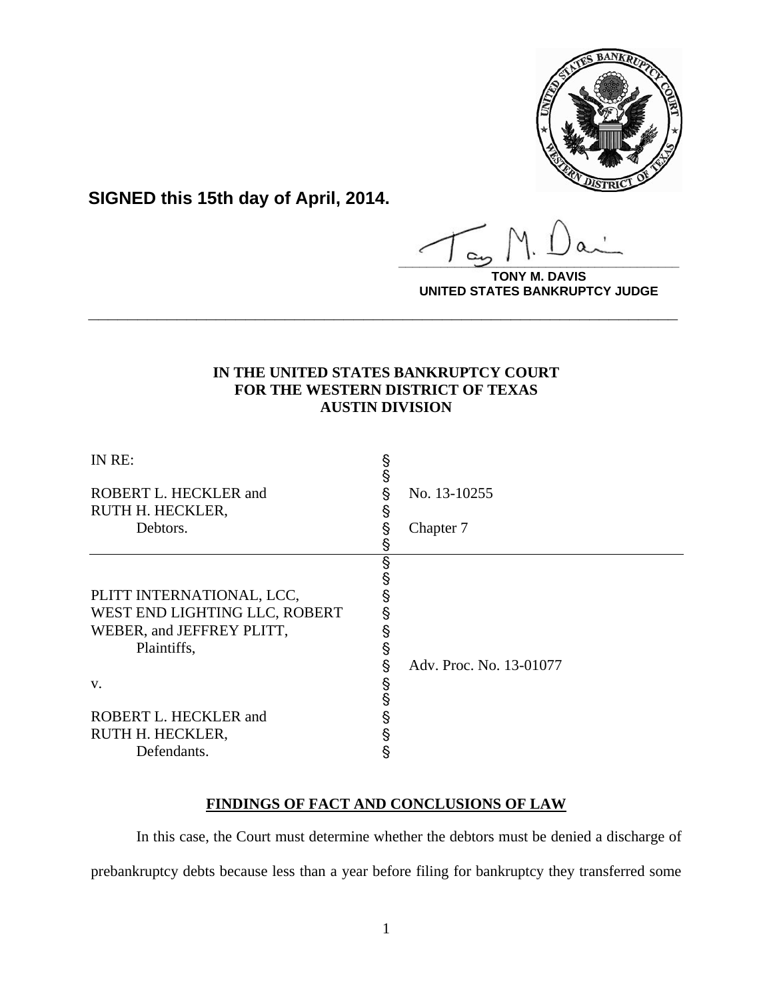

**SIGNED this 15th day of April, 2014.**

**\_\_\_\_\_\_\_\_\_\_\_\_\_\_\_\_\_\_\_\_\_\_\_\_\_\_\_\_\_\_\_\_\_\_\_\_\_\_\_\_**

**DAVIS UNITED STATES BANKRUPTCY JUDGE**

## **IN THE UNITED STATES BANKRUPTCY COURT FOR THE WESTERN DISTRICT OF TEXAS AUSTIN DIVISION**

**\_\_\_\_\_\_\_\_\_\_\_\_\_\_\_\_\_\_\_\_\_\_\_\_\_\_\_\_\_\_\_\_\_\_\_\_\_\_\_\_\_\_\_\_\_\_\_\_\_\_\_\_\_\_\_\_\_\_\_\_**

| IN RE:                        | §<br>§ |                         |
|-------------------------------|--------|-------------------------|
| ROBERT L. HECKLER and         | §      | No. 13-10255            |
| RUTH H. HECKLER,              | §      |                         |
| Debtors.                      | §      | Chapter 7               |
|                               | §      |                         |
|                               | §      |                         |
|                               | §      |                         |
| PLITT INTERNATIONAL, LCC,     | §      |                         |
| WEST END LIGHTING LLC, ROBERT | §      |                         |
| WEBER, and JEFFREY PLITT,     |        |                         |
| Plaintiffs,                   | §      |                         |
|                               | §      | Adv. Proc. No. 13-01077 |
| V.                            | §      |                         |
|                               | Ş      |                         |
| ROBERT L. HECKLER and         | §      |                         |
| RUTH H. HECKLER,              | §      |                         |
| Defendants.                   | §      |                         |

# **FINDINGS OF FACT AND CONCLUSIONS OF LAW**

 In this case, the Court must determine whether the debtors must be denied a discharge of prebankruptcy debts because less than a year before filing for bankruptcy they transferred some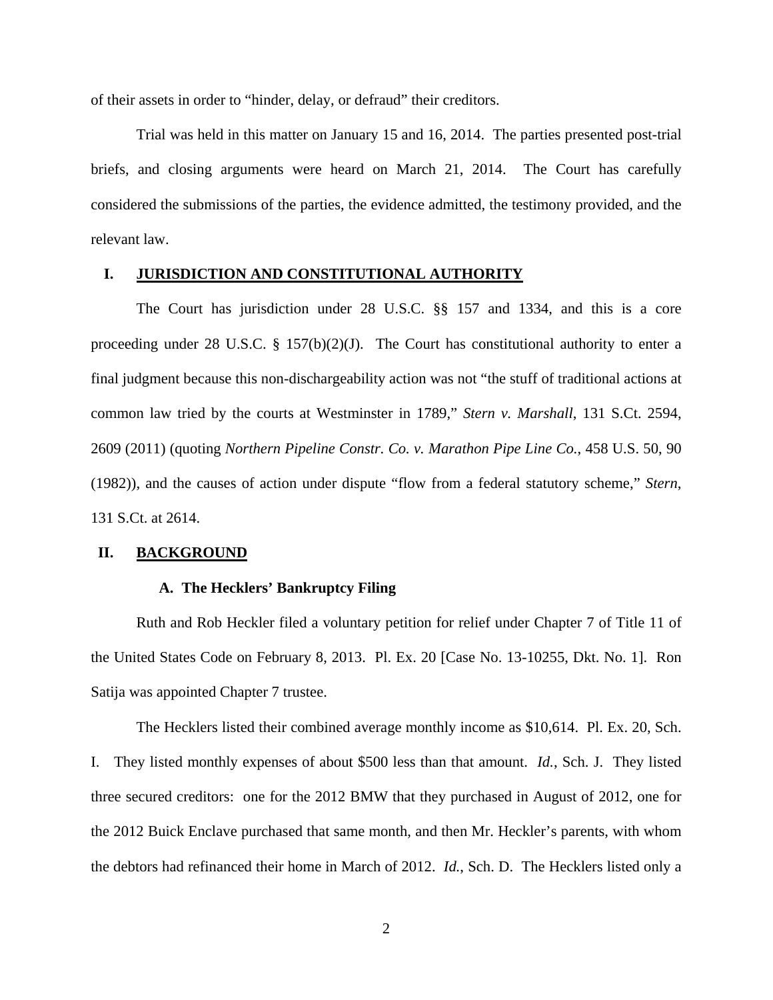of their assets in order to "hinder, delay, or defraud" their creditors.

 Trial was held in this matter on January 15 and 16, 2014. The parties presented post-trial briefs, and closing arguments were heard on March 21, 2014. The Court has carefully considered the submissions of the parties, the evidence admitted, the testimony provided, and the relevant law.

## **I. JURISDICTION AND CONSTITUTIONAL AUTHORITY**

 The Court has jurisdiction under 28 U.S.C. §§ 157 and 1334, and this is a core proceeding under 28 U.S.C.  $\S$  157(b)(2)(J). The Court has constitutional authority to enter a final judgment because this non-dischargeability action was not "the stuff of traditional actions at common law tried by the courts at Westminster in 1789," *Stern v. Marshall*, 131 S.Ct. 2594, 2609 (2011) (quoting *Northern Pipeline Constr. Co. v. Marathon Pipe Line Co.*, 458 U.S. 50, 90 (1982)), and the causes of action under dispute "flow from a federal statutory scheme," *Stern*, 131 S.Ct. at 2614.

#### **II. BACKGROUND**

## **A. The Hecklers' Bankruptcy Filing**

Ruth and Rob Heckler filed a voluntary petition for relief under Chapter 7 of Title 11 of the United States Code on February 8, 2013. Pl. Ex. 20 [Case No. 13-10255, Dkt. No. 1]. Ron Satija was appointed Chapter 7 trustee.

The Hecklers listed their combined average monthly income as \$10,614. Pl. Ex. 20, Sch. I. They listed monthly expenses of about \$500 less than that amount. *Id.*, Sch. J. They listed three secured creditors: one for the 2012 BMW that they purchased in August of 2012, one for the 2012 Buick Enclave purchased that same month, and then Mr. Heckler's parents, with whom the debtors had refinanced their home in March of 2012. *Id.*, Sch. D. The Hecklers listed only a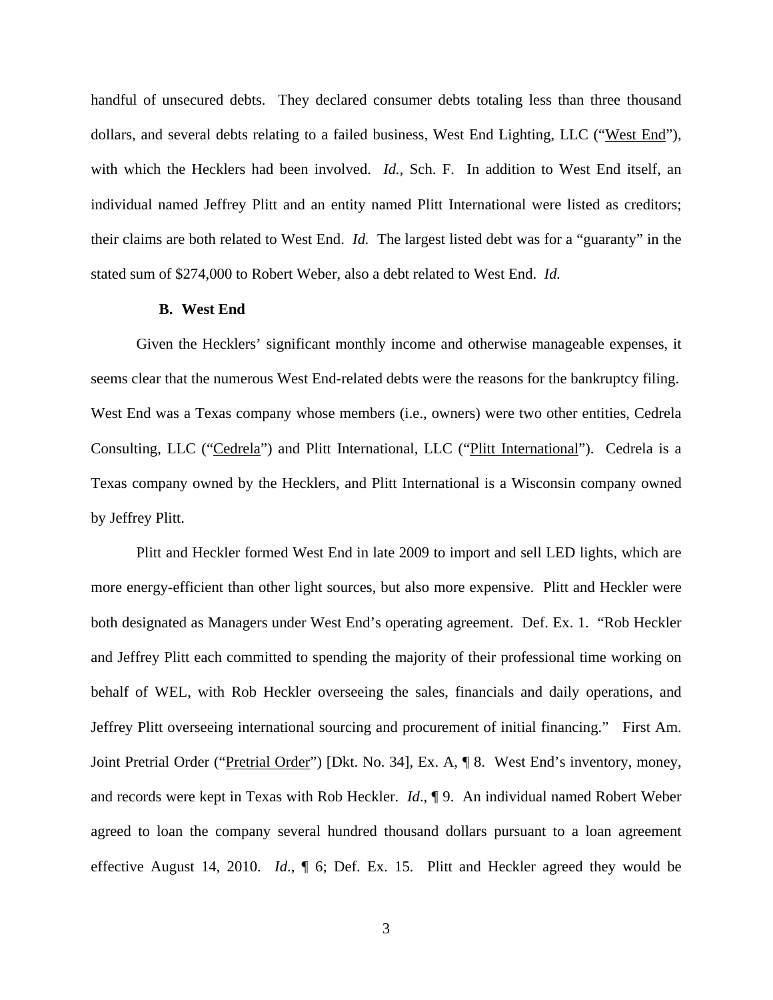handful of unsecured debts. They declared consumer debts totaling less than three thousand dollars, and several debts relating to a failed business, West End Lighting, LLC ("West End"), with which the Hecklers had been involved. *Id.*, Sch. F. In addition to West End itself, an individual named Jeffrey Plitt and an entity named Plitt International were listed as creditors; their claims are both related to West End. *Id.* The largest listed debt was for a "guaranty" in the stated sum of \$274,000 to Robert Weber, also a debt related to West End. *Id.*

#### **B. West End**

Given the Hecklers' significant monthly income and otherwise manageable expenses, it seems clear that the numerous West End-related debts were the reasons for the bankruptcy filing. West End was a Texas company whose members (i.e., owners) were two other entities, Cedrela Consulting, LLC ("Cedrela") and Plitt International, LLC ("Plitt International"). Cedrela is a Texas company owned by the Hecklers, and Plitt International is a Wisconsin company owned by Jeffrey Plitt.

Plitt and Heckler formed West End in late 2009 to import and sell LED lights, which are more energy-efficient than other light sources, but also more expensive. Plitt and Heckler were both designated as Managers under West End's operating agreement. Def. Ex. 1. "Rob Heckler and Jeffrey Plitt each committed to spending the majority of their professional time working on behalf of WEL, with Rob Heckler overseeing the sales, financials and daily operations, and Jeffrey Plitt overseeing international sourcing and procurement of initial financing." First Am. Joint Pretrial Order ("Pretrial Order") [Dkt. No. 34], Ex. A, ¶ 8. West End's inventory, money, and records were kept in Texas with Rob Heckler. *Id*., ¶ 9. An individual named Robert Weber agreed to loan the company several hundred thousand dollars pursuant to a loan agreement effective August 14, 2010. *Id*., ¶ 6; Def. Ex. 15. Plitt and Heckler agreed they would be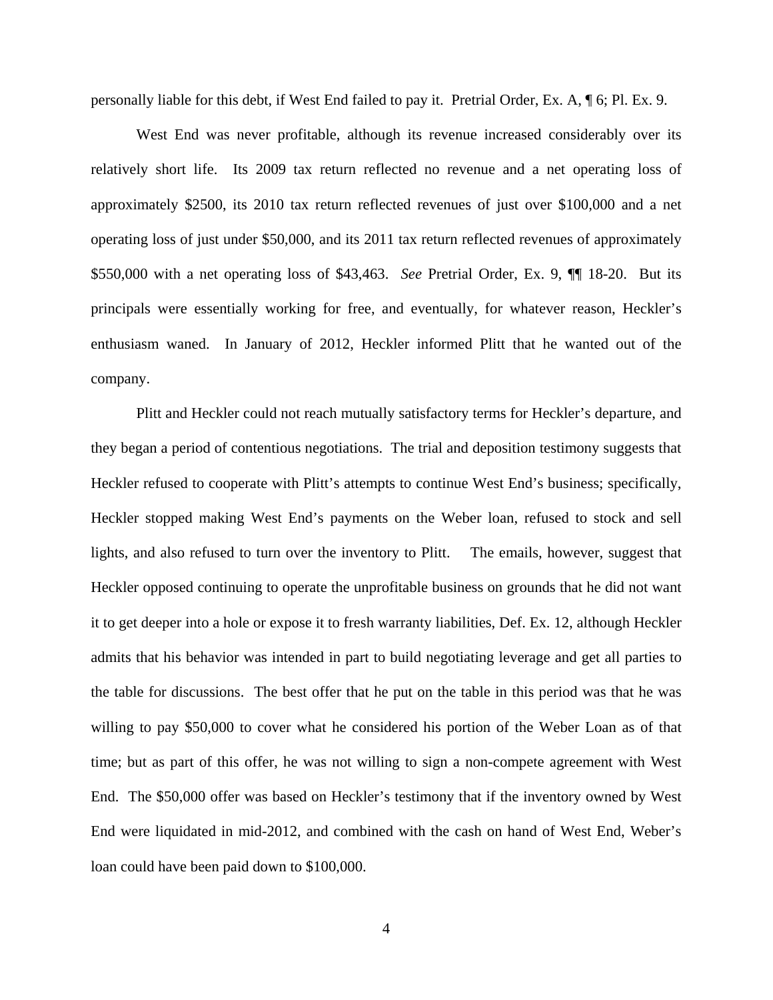personally liable for this debt, if West End failed to pay it. Pretrial Order, Ex. A, ¶ 6; Pl. Ex. 9.

West End was never profitable, although its revenue increased considerably over its relatively short life. Its 2009 tax return reflected no revenue and a net operating loss of approximately \$2500, its 2010 tax return reflected revenues of just over \$100,000 and a net operating loss of just under \$50,000, and its 2011 tax return reflected revenues of approximately \$550,000 with a net operating loss of \$43,463. *See* Pretrial Order, Ex. 9, ¶¶ 18-20. But its principals were essentially working for free, and eventually, for whatever reason, Heckler's enthusiasm waned. In January of 2012, Heckler informed Plitt that he wanted out of the company.

Plitt and Heckler could not reach mutually satisfactory terms for Heckler's departure, and they began a period of contentious negotiations. The trial and deposition testimony suggests that Heckler refused to cooperate with Plitt's attempts to continue West End's business; specifically, Heckler stopped making West End's payments on the Weber loan, refused to stock and sell lights, and also refused to turn over the inventory to Plitt. The emails, however, suggest that Heckler opposed continuing to operate the unprofitable business on grounds that he did not want it to get deeper into a hole or expose it to fresh warranty liabilities, Def. Ex. 12, although Heckler admits that his behavior was intended in part to build negotiating leverage and get all parties to the table for discussions. The best offer that he put on the table in this period was that he was willing to pay \$50,000 to cover what he considered his portion of the Weber Loan as of that time; but as part of this offer, he was not willing to sign a non-compete agreement with West End. The \$50,000 offer was based on Heckler's testimony that if the inventory owned by West End were liquidated in mid-2012, and combined with the cash on hand of West End, Weber's loan could have been paid down to \$100,000.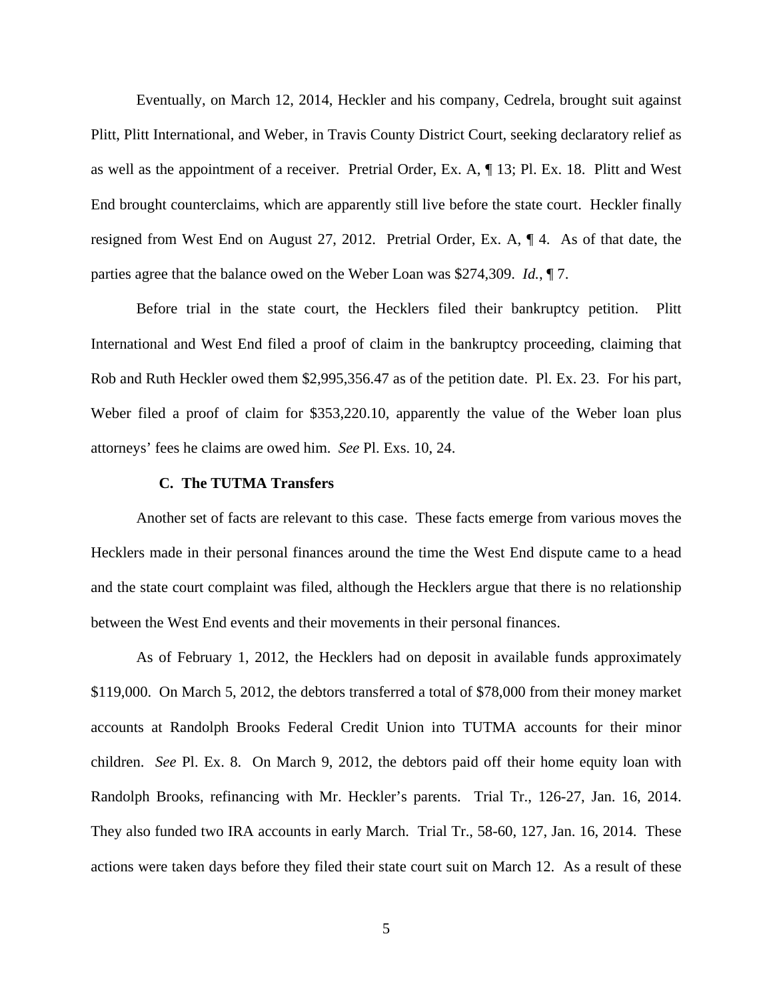Eventually, on March 12, 2014, Heckler and his company, Cedrela, brought suit against Plitt, Plitt International, and Weber, in Travis County District Court, seeking declaratory relief as as well as the appointment of a receiver. Pretrial Order, Ex. A, ¶ 13; Pl. Ex. 18. Plitt and West End brought counterclaims, which are apparently still live before the state court. Heckler finally resigned from West End on August 27, 2012. Pretrial Order, Ex. A, ¶ 4. As of that date, the parties agree that the balance owed on the Weber Loan was \$274,309. *Id.*, ¶ 7.

Before trial in the state court, the Hecklers filed their bankruptcy petition. Plitt International and West End filed a proof of claim in the bankruptcy proceeding, claiming that Rob and Ruth Heckler owed them \$2,995,356.47 as of the petition date. Pl. Ex. 23. For his part, Weber filed a proof of claim for \$353,220.10, apparently the value of the Weber loan plus attorneys' fees he claims are owed him. *See* Pl. Exs. 10, 24.

#### **C. The TUTMA Transfers**

Another set of facts are relevant to this case. These facts emerge from various moves the Hecklers made in their personal finances around the time the West End dispute came to a head and the state court complaint was filed, although the Hecklers argue that there is no relationship between the West End events and their movements in their personal finances.

As of February 1, 2012, the Hecklers had on deposit in available funds approximately \$119,000. On March 5, 2012, the debtors transferred a total of \$78,000 from their money market accounts at Randolph Brooks Federal Credit Union into TUTMA accounts for their minor children. *See* Pl. Ex. 8. On March 9, 2012, the debtors paid off their home equity loan with Randolph Brooks, refinancing with Mr. Heckler's parents. Trial Tr., 126-27, Jan. 16, 2014. They also funded two IRA accounts in early March. Trial Tr., 58-60, 127, Jan. 16, 2014. These actions were taken days before they filed their state court suit on March 12. As a result of these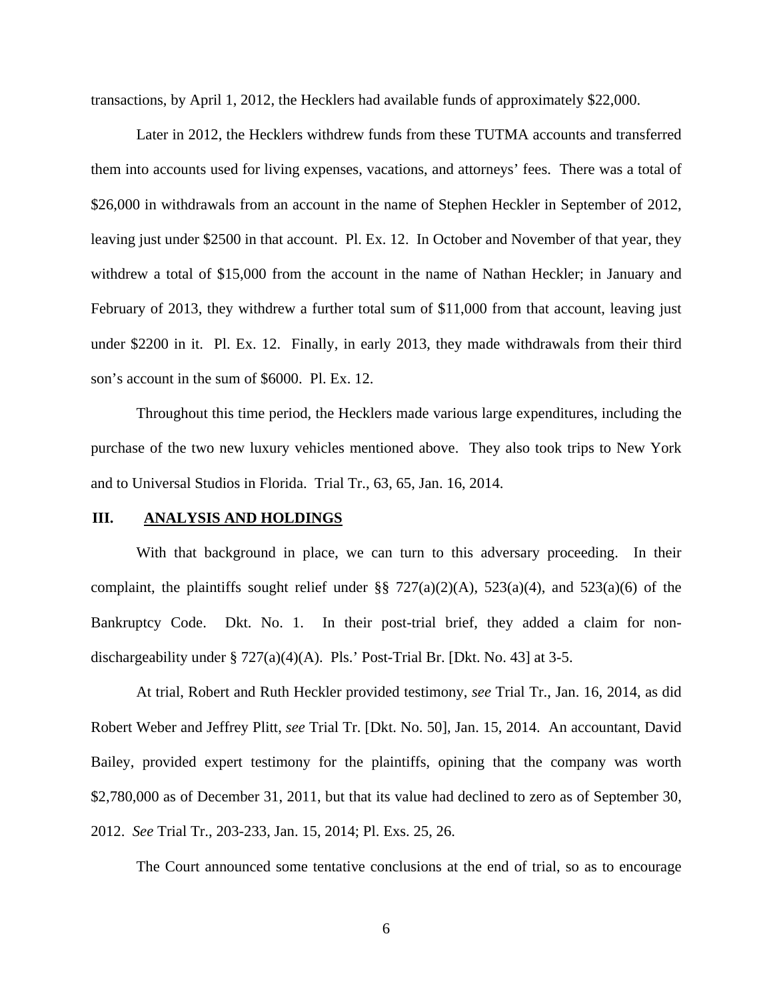transactions, by April 1, 2012, the Hecklers had available funds of approximately \$22,000.

Later in 2012, the Hecklers withdrew funds from these TUTMA accounts and transferred them into accounts used for living expenses, vacations, and attorneys' fees. There was a total of \$26,000 in withdrawals from an account in the name of Stephen Heckler in September of 2012, leaving just under \$2500 in that account. Pl. Ex. 12. In October and November of that year, they withdrew a total of \$15,000 from the account in the name of Nathan Heckler; in January and February of 2013, they withdrew a further total sum of \$11,000 from that account, leaving just under \$2200 in it. Pl. Ex. 12. Finally, in early 2013, they made withdrawals from their third son's account in the sum of \$6000. Pl. Ex. 12.

Throughout this time period, the Hecklers made various large expenditures, including the purchase of the two new luxury vehicles mentioned above. They also took trips to New York and to Universal Studios in Florida. Trial Tr., 63, 65, Jan. 16, 2014.

## **III. ANALYSIS AND HOLDINGS**

With that background in place, we can turn to this adversary proceeding. In their complaint, the plaintiffs sought relief under  $\S$   $727(a)(2)(A)$ ,  $523(a)(4)$ , and  $523(a)(6)$  of the Bankruptcy Code. Dkt. No. 1. In their post-trial brief, they added a claim for nondischargeability under  $\S 727(a)(4)(A)$ . Pls.' Post-Trial Br. [Dkt. No. 43] at 3-5.

At trial, Robert and Ruth Heckler provided testimony, *see* Trial Tr., Jan. 16, 2014, as did Robert Weber and Jeffrey Plitt, *see* Trial Tr. [Dkt. No. 50], Jan. 15, 2014. An accountant, David Bailey, provided expert testimony for the plaintiffs, opining that the company was worth \$2,780,000 as of December 31, 2011, but that its value had declined to zero as of September 30, 2012. *See* Trial Tr., 203-233, Jan. 15, 2014; Pl. Exs. 25, 26.

The Court announced some tentative conclusions at the end of trial, so as to encourage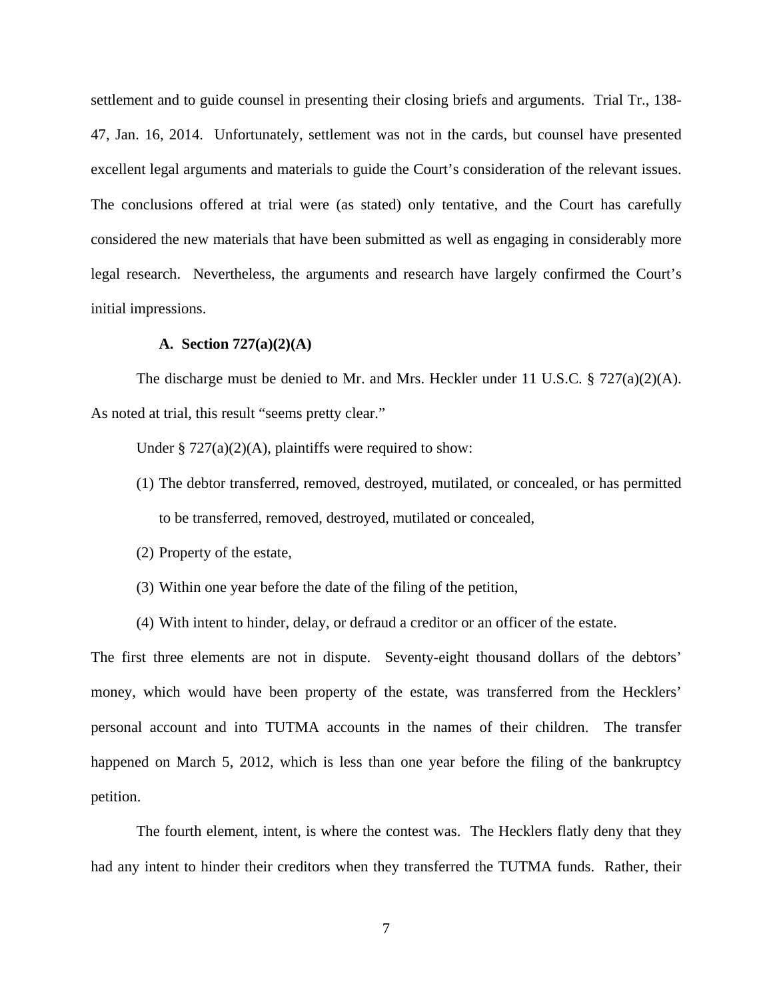settlement and to guide counsel in presenting their closing briefs and arguments. Trial Tr., 138- 47, Jan. 16, 2014. Unfortunately, settlement was not in the cards, but counsel have presented excellent legal arguments and materials to guide the Court's consideration of the relevant issues. The conclusions offered at trial were (as stated) only tentative, and the Court has carefully considered the new materials that have been submitted as well as engaging in considerably more legal research. Nevertheless, the arguments and research have largely confirmed the Court's initial impressions.

#### **A. Section 727(a)(2)(A)**

The discharge must be denied to Mr. and Mrs. Heckler under 11 U.S.C. § 727(a)(2)(A). As noted at trial, this result "seems pretty clear."

Under  $\S 727(a)(2)(A)$ , plaintiffs were required to show:

- (1) The debtor transferred, removed, destroyed, mutilated, or concealed, or has permitted to be transferred, removed, destroyed, mutilated or concealed,
- (2) Property of the estate,
- (3) Within one year before the date of the filing of the petition,
- (4) With intent to hinder, delay, or defraud a creditor or an officer of the estate.

The first three elements are not in dispute. Seventy-eight thousand dollars of the debtors' money, which would have been property of the estate, was transferred from the Hecklers' personal account and into TUTMA accounts in the names of their children. The transfer happened on March 5, 2012, which is less than one year before the filing of the bankruptcy petition.

The fourth element, intent, is where the contest was. The Hecklers flatly deny that they had any intent to hinder their creditors when they transferred the TUTMA funds. Rather, their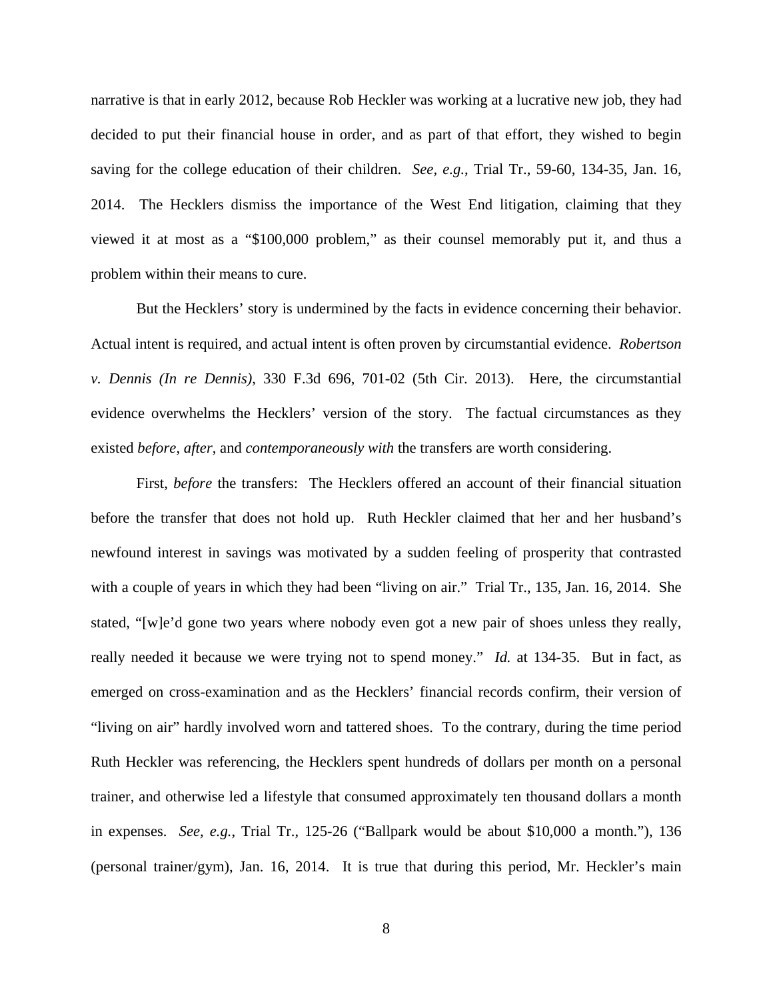narrative is that in early 2012, because Rob Heckler was working at a lucrative new job, they had decided to put their financial house in order, and as part of that effort, they wished to begin saving for the college education of their children. *See, e.g.*, Trial Tr., 59-60, 134-35, Jan. 16, 2014. The Hecklers dismiss the importance of the West End litigation, claiming that they viewed it at most as a "\$100,000 problem," as their counsel memorably put it, and thus a problem within their means to cure.

But the Hecklers' story is undermined by the facts in evidence concerning their behavior. Actual intent is required, and actual intent is often proven by circumstantial evidence. *Robertson v. Dennis (In re Dennis)*, 330 F.3d 696, 701-02 (5th Cir. 2013). Here, the circumstantial evidence overwhelms the Hecklers' version of the story. The factual circumstances as they existed *before*, *after*, and *contemporaneously with* the transfers are worth considering.

First, *before* the transfers: The Hecklers offered an account of their financial situation before the transfer that does not hold up. Ruth Heckler claimed that her and her husband's newfound interest in savings was motivated by a sudden feeling of prosperity that contrasted with a couple of years in which they had been "living on air." Trial Tr., 135, Jan. 16, 2014. She stated, "[w]e'd gone two years where nobody even got a new pair of shoes unless they really, really needed it because we were trying not to spend money." *Id.* at 134-35. But in fact, as emerged on cross-examination and as the Hecklers' financial records confirm, their version of "living on air" hardly involved worn and tattered shoes. To the contrary, during the time period Ruth Heckler was referencing, the Hecklers spent hundreds of dollars per month on a personal trainer, and otherwise led a lifestyle that consumed approximately ten thousand dollars a month in expenses. *See, e.g.*, Trial Tr., 125-26 ("Ballpark would be about \$10,000 a month."), 136 (personal trainer/gym), Jan. 16, 2014. It is true that during this period, Mr. Heckler's main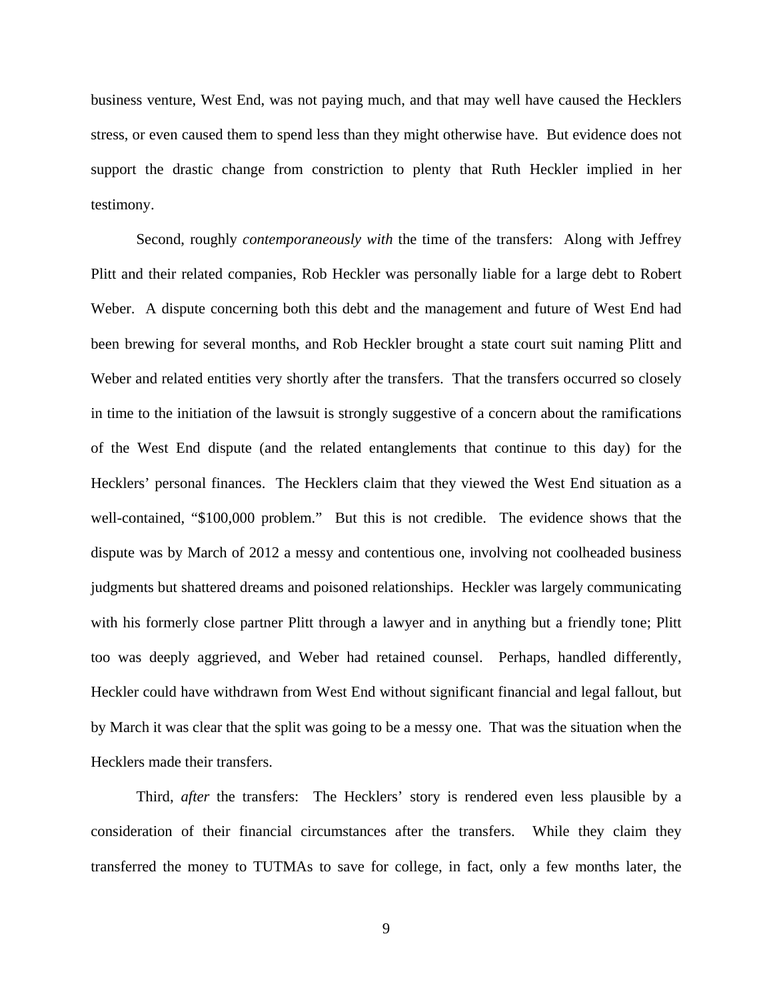business venture, West End, was not paying much, and that may well have caused the Hecklers stress, or even caused them to spend less than they might otherwise have. But evidence does not support the drastic change from constriction to plenty that Ruth Heckler implied in her testimony.

Second, roughly *contemporaneously with* the time of the transfers: Along with Jeffrey Plitt and their related companies, Rob Heckler was personally liable for a large debt to Robert Weber. A dispute concerning both this debt and the management and future of West End had been brewing for several months, and Rob Heckler brought a state court suit naming Plitt and Weber and related entities very shortly after the transfers. That the transfers occurred so closely in time to the initiation of the lawsuit is strongly suggestive of a concern about the ramifications of the West End dispute (and the related entanglements that continue to this day) for the Hecklers' personal finances. The Hecklers claim that they viewed the West End situation as a well-contained, "\$100,000 problem." But this is not credible. The evidence shows that the dispute was by March of 2012 a messy and contentious one, involving not coolheaded business judgments but shattered dreams and poisoned relationships. Heckler was largely communicating with his formerly close partner Plitt through a lawyer and in anything but a friendly tone; Plitt too was deeply aggrieved, and Weber had retained counsel. Perhaps, handled differently, Heckler could have withdrawn from West End without significant financial and legal fallout, but by March it was clear that the split was going to be a messy one. That was the situation when the Hecklers made their transfers.

Third, *after* the transfers: The Hecklers' story is rendered even less plausible by a consideration of their financial circumstances after the transfers. While they claim they transferred the money to TUTMAs to save for college, in fact, only a few months later, the

9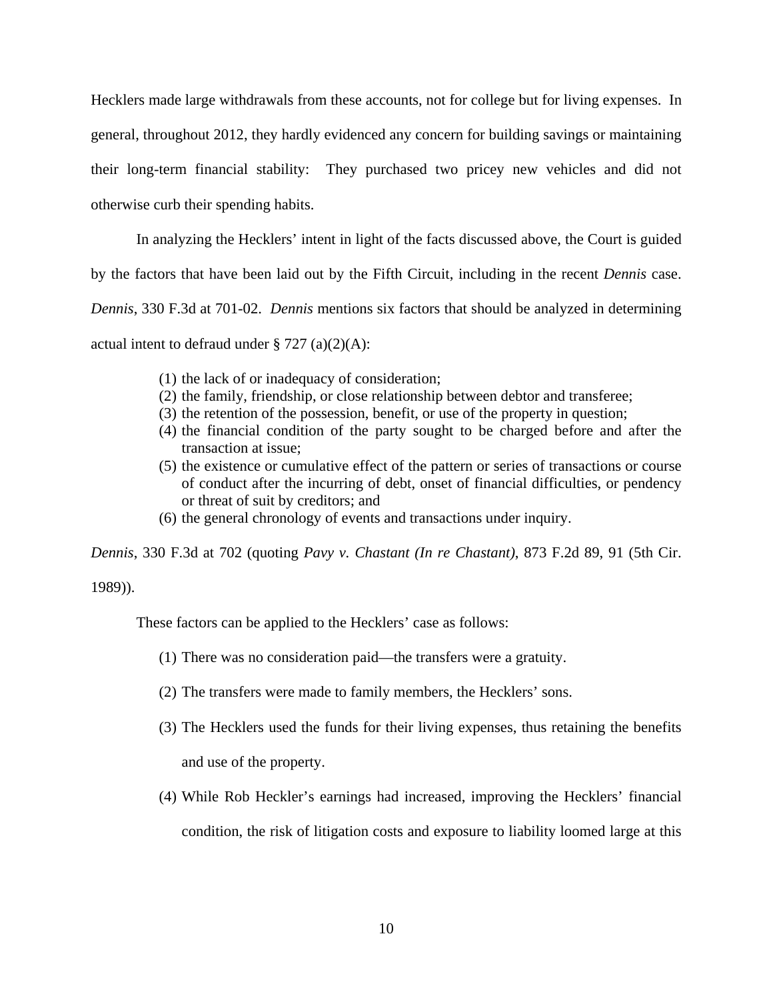Hecklers made large withdrawals from these accounts, not for college but for living expenses. In general, throughout 2012, they hardly evidenced any concern for building savings or maintaining their long-term financial stability: They purchased two pricey new vehicles and did not otherwise curb their spending habits.

In analyzing the Hecklers' intent in light of the facts discussed above, the Court is guided

by the factors that have been laid out by the Fifth Circuit, including in the recent *Dennis* case.

*Dennis*, 330 F.3d at 701-02. *Dennis* mentions six factors that should be analyzed in determining

actual intent to defraud under  $\S 727$  (a)(2)(A):

- (1) the lack of or inadequacy of consideration;
- (2) the family, friendship, or close relationship between debtor and transferee;
- (3) the retention of the possession, benefit, or use of the property in question;
- (4) the financial condition of the party sought to be charged before and after the transaction at issue;
- (5) the existence or cumulative effect of the pattern or series of transactions or course of conduct after the incurring of debt, onset of financial difficulties, or pendency or threat of suit by creditors; and
- (6) the general chronology of events and transactions under inquiry.

*Dennis*, 330 F.3d at 702 (quoting *Pavy v. Chastant (In re Chastant)*, 873 F.2d 89, 91 (5th Cir.

## 1989)).

These factors can be applied to the Hecklers' case as follows:

- (1) There was no consideration paid—the transfers were a gratuity.
- (2) The transfers were made to family members, the Hecklers' sons.
- (3) The Hecklers used the funds for their living expenses, thus retaining the benefits and use of the property.
- (4) While Rob Heckler's earnings had increased, improving the Hecklers' financial condition, the risk of litigation costs and exposure to liability loomed large at this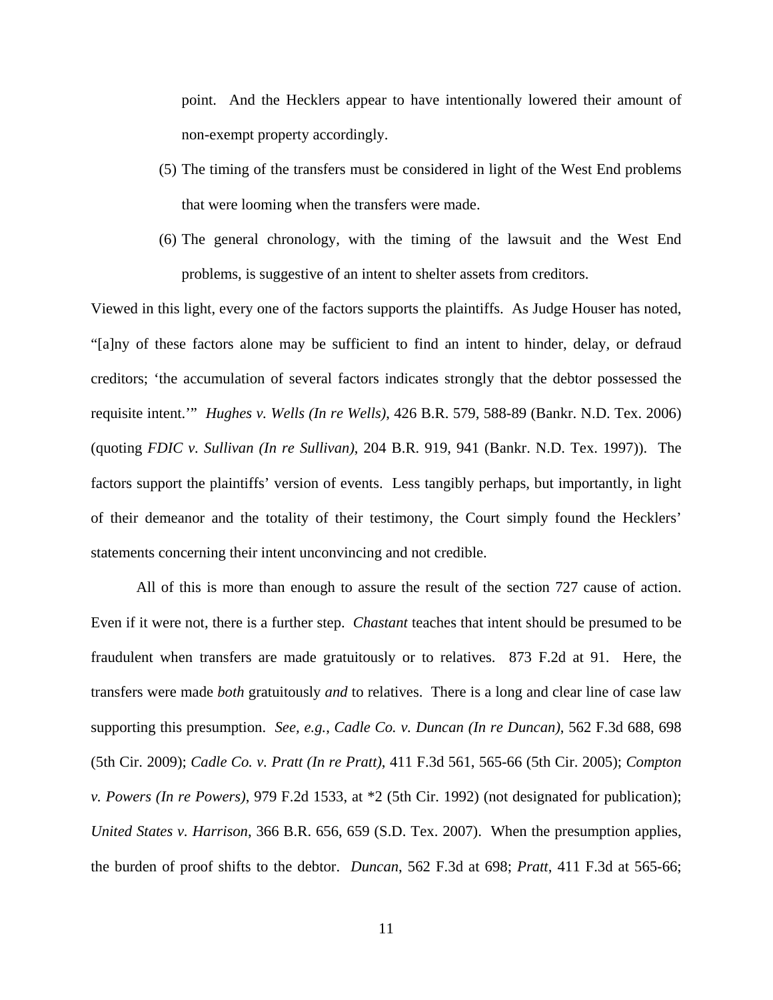point. And the Hecklers appear to have intentionally lowered their amount of non-exempt property accordingly.

- (5) The timing of the transfers must be considered in light of the West End problems that were looming when the transfers were made.
- (6) The general chronology, with the timing of the lawsuit and the West End problems, is suggestive of an intent to shelter assets from creditors.

Viewed in this light, every one of the factors supports the plaintiffs. As Judge Houser has noted, "[a]ny of these factors alone may be sufficient to find an intent to hinder, delay, or defraud creditors; 'the accumulation of several factors indicates strongly that the debtor possessed the requisite intent.'" *Hughes v. Wells (In re Wells)*, 426 B.R. 579, 588-89 (Bankr. N.D. Tex. 2006) (quoting *FDIC v. Sullivan (In re Sullivan)*, 204 B.R. 919, 941 (Bankr. N.D. Tex. 1997)). The factors support the plaintiffs' version of events. Less tangibly perhaps, but importantly, in light of their demeanor and the totality of their testimony, the Court simply found the Hecklers' statements concerning their intent unconvincing and not credible.

All of this is more than enough to assure the result of the section 727 cause of action. Even if it were not, there is a further step. *Chastant* teaches that intent should be presumed to be fraudulent when transfers are made gratuitously or to relatives. 873 F.2d at 91. Here, the transfers were made *both* gratuitously *and* to relatives. There is a long and clear line of case law supporting this presumption. *See, e.g.*, *Cadle Co. v. Duncan (In re Duncan)*, 562 F.3d 688, 698 (5th Cir. 2009); *Cadle Co. v. Pratt (In re Pratt)*, 411 F.3d 561, 565-66 (5th Cir. 2005); *Compton v. Powers (In re Powers)*, 979 F.2d 1533, at \*2 (5th Cir. 1992) (not designated for publication); *United States v. Harrison*, 366 B.R. 656, 659 (S.D. Tex. 2007). When the presumption applies, the burden of proof shifts to the debtor. *Duncan*, 562 F.3d at 698; *Pratt*, 411 F.3d at 565-66;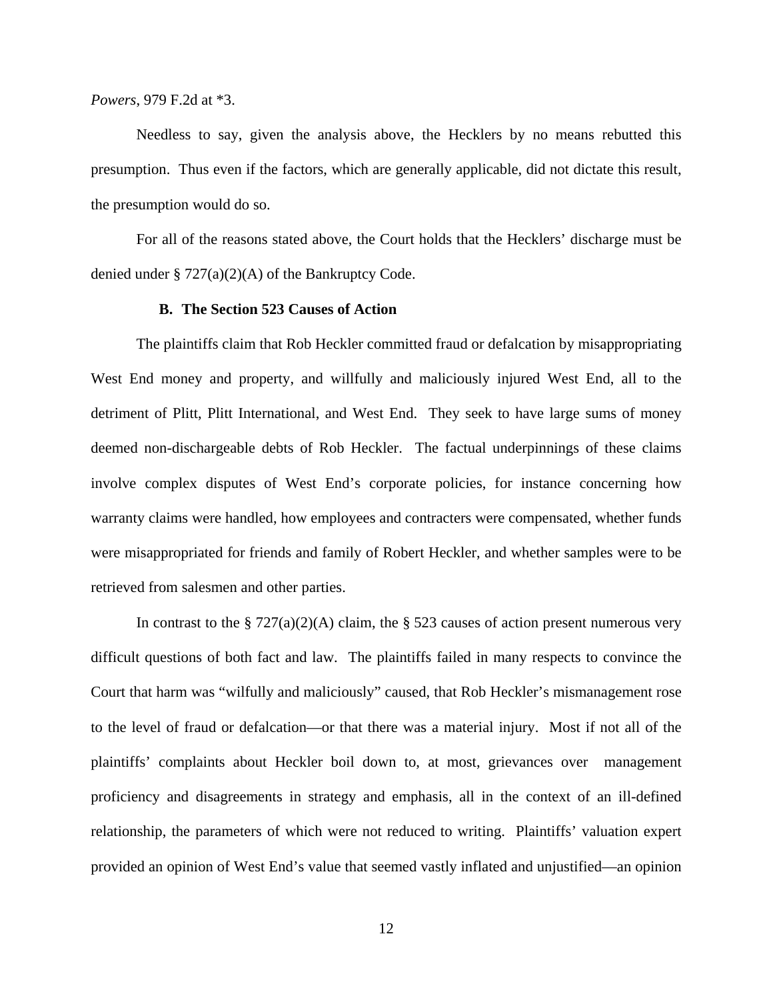*Powers*, 979 F.2d at \*3.

Needless to say, given the analysis above, the Hecklers by no means rebutted this presumption. Thus even if the factors, which are generally applicable, did not dictate this result, the presumption would do so.

For all of the reasons stated above, the Court holds that the Hecklers' discharge must be denied under § 727(a)(2)(A) of the Bankruptcy Code.

#### **B. The Section 523 Causes of Action**

The plaintiffs claim that Rob Heckler committed fraud or defalcation by misappropriating West End money and property, and willfully and maliciously injured West End, all to the detriment of Plitt, Plitt International, and West End. They seek to have large sums of money deemed non-dischargeable debts of Rob Heckler. The factual underpinnings of these claims involve complex disputes of West End's corporate policies, for instance concerning how warranty claims were handled, how employees and contracters were compensated, whether funds were misappropriated for friends and family of Robert Heckler, and whether samples were to be retrieved from salesmen and other parties.

In contrast to the § 727(a)(2)(A) claim, the § 523 causes of action present numerous very difficult questions of both fact and law. The plaintiffs failed in many respects to convince the Court that harm was "wilfully and maliciously" caused, that Rob Heckler's mismanagement rose to the level of fraud or defalcation—or that there was a material injury. Most if not all of the plaintiffs' complaints about Heckler boil down to, at most, grievances over management proficiency and disagreements in strategy and emphasis, all in the context of an ill-defined relationship, the parameters of which were not reduced to writing. Plaintiffs' valuation expert provided an opinion of West End's value that seemed vastly inflated and unjustified—an opinion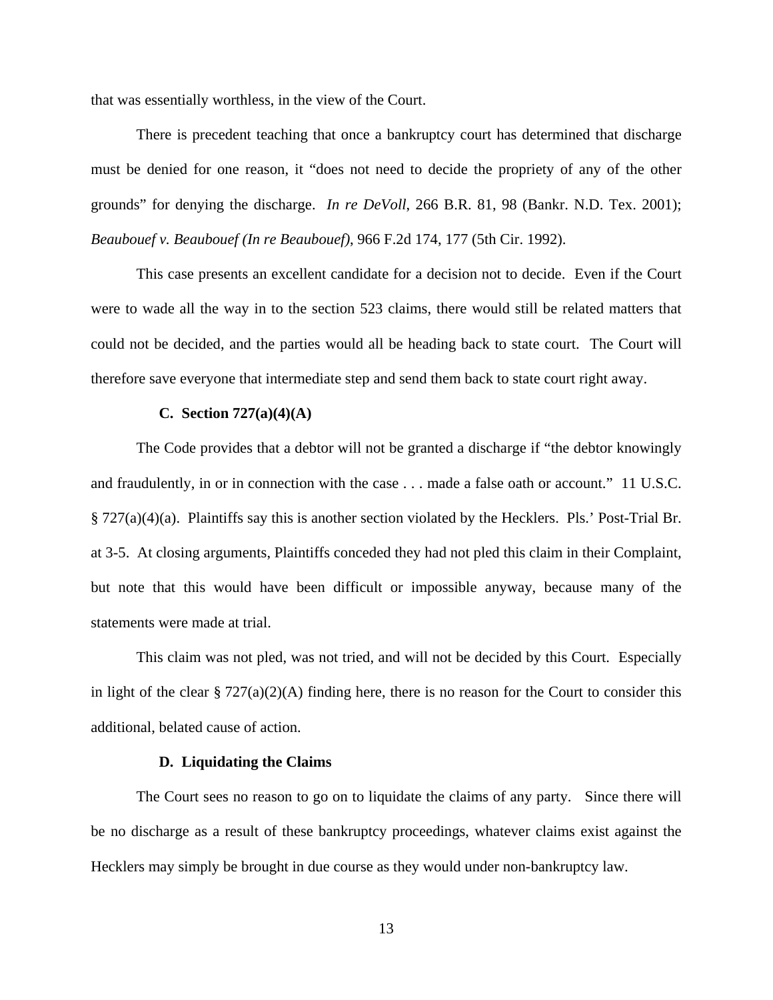that was essentially worthless, in the view of the Court.

There is precedent teaching that once a bankruptcy court has determined that discharge must be denied for one reason, it "does not need to decide the propriety of any of the other grounds" for denying the discharge. *In re DeVoll*, 266 B.R. 81, 98 (Bankr. N.D. Tex. 2001); *Beaubouef v. Beaubouef (In re Beaubouef)*, 966 F.2d 174, 177 (5th Cir. 1992).

This case presents an excellent candidate for a decision not to decide. Even if the Court were to wade all the way in to the section 523 claims, there would still be related matters that could not be decided, and the parties would all be heading back to state court. The Court will therefore save everyone that intermediate step and send them back to state court right away.

## **C. Section 727(a)(4)(A)**

The Code provides that a debtor will not be granted a discharge if "the debtor knowingly and fraudulently, in or in connection with the case . . . made a false oath or account." 11 U.S.C. § 727(a)(4)(a). Plaintiffs say this is another section violated by the Hecklers. Pls.' Post-Trial Br. at 3-5. At closing arguments, Plaintiffs conceded they had not pled this claim in their Complaint, but note that this would have been difficult or impossible anyway, because many of the statements were made at trial.

This claim was not pled, was not tried, and will not be decided by this Court. Especially in light of the clear  $\S 727(a)(2)(A)$  finding here, there is no reason for the Court to consider this additional, belated cause of action.

#### **D. Liquidating the Claims**

 The Court sees no reason to go on to liquidate the claims of any party. Since there will be no discharge as a result of these bankruptcy proceedings, whatever claims exist against the Hecklers may simply be brought in due course as they would under non-bankruptcy law.